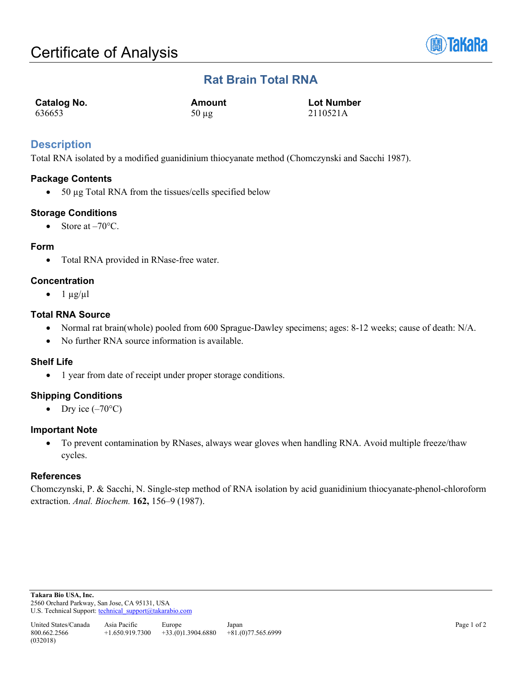

## **Rat Brain Total RNA**

| <b>Catalog No.</b> | Amount     | <b>Lot Number</b> |
|--------------------|------------|-------------------|
| 636653             | $50 \mu$ g | 2110521A          |

## **Description**

Total RNA isolated by a modified guanidinium thiocyanate method (Chomczynski and Sacchi 1987).

#### **Package Contents**

• 50 µg Total RNA from the tissues/cells specified below

#### **Storage Conditions**

• Store at  $-70^{\circ}$ C.

#### **Form**

• Total RNA provided in RNase-free water.

#### **Concentration**

 $\bullet$  1  $\mu$ g/ $\mu$ l

#### **Total RNA Source**

- Normal rat brain(whole) pooled from 600 Sprague-Dawley specimens; ages: 8-12 weeks; cause of death: N/A.
- No further RNA source information is available.

#### **Shelf Life**

• 1 year from date of receipt under proper storage conditions.

### **Shipping Conditions**

• Dry ice  $(-70^{\circ}C)$ 

#### **Important Note**

• To prevent contamination by RNases, always wear gloves when handling RNA. Avoid multiple freeze/thaw cycles.

#### **References**

Chomczynski, P. & Sacchi, N. Single-step method of RNA isolation by acid guanidinium thiocyanate-phenol-chloroform extraction. *Anal. Biochem.* **162,** 156–9 (1987).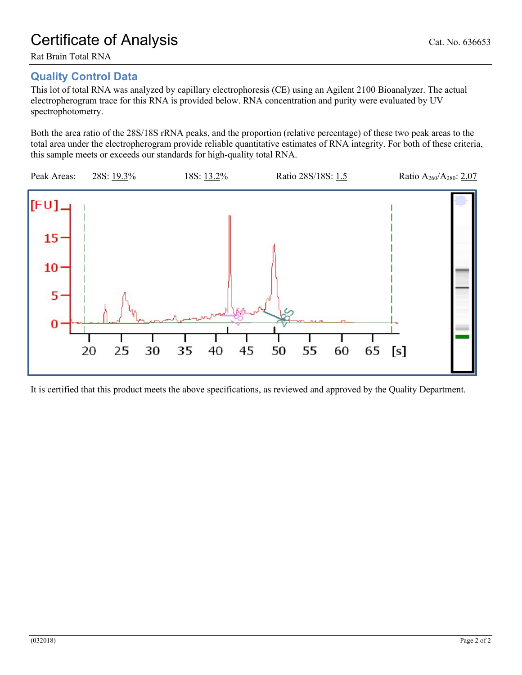# Certificate of Analysis Cat. No. 636653

Rat Brain Total RNA

## **Quality Control Data**

This lot of total RNA was analyzed by capillary electrophoresis (CE) using an Agilent 2100 Bioanalyzer. The actual electropherogram trace for this RNA is provided below. RNA concentration and purity were evaluated by UV spectrophotometry.

Both the area ratio of the 28S/18S rRNA peaks, and the proportion (relative percentage) of these two peak areas to the total area under the electropherogram provide reliable quantitative estimates of RNA integrity. For both of these criteria, this sample meets or exceeds our standards for high-quality total RNA.



It is certified that this product meets the above specifications, as reviewed and approved by the Quality Department.